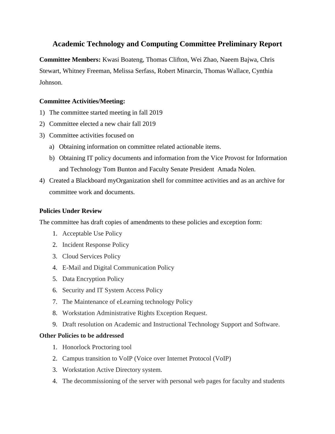# **Academic Technology and Computing Committee Preliminary Report**

**Committee Members:** Kwasi Boateng, Thomas Clifton, Wei Zhao, Naeem Bajwa, Chris Stewart, Whitney Freeman, Melissa Serfass, Robert Minarcin, Thomas Wallace, Cynthia Johnson.

### **Committee Activities/Meeting:**

- 1) The committee started meeting in fall 2019
- 2) Committee elected a new chair fall 2019
- 3) Committee activities focused on
	- a) Obtaining information on committee related actionable items.
	- b) Obtaining IT policy documents and information from the Vice Provost for Information and Technology Tom Bunton and Faculty Senate President Amada Nolen.
- 4) Created a Blackboard myOrganization shell for committee activities and as an archive for committee work and documents.

#### **Policies Under Review**

The committee has draft copies of amendments to these policies and exception form:

- 1. Acceptable Use Policy
- 2. Incident Response Policy
- 3. Cloud Services Policy
- 4. E-Mail and Digital Communication Policy
- 5. Data Encryption Policy
- 6. Security and IT System Access Policy
- 7. The Maintenance of eLearning technology Policy
- 8. Workstation Administrative Rights Exception Request.
- 9. Draft resolution on Academic and Instructional Technology Support and Software.

#### **Other Policies to be addressed**

- 1. Honorlock Proctoring tool
- 2. Campus transition to VoIP (Voice over Internet Protocol (VoIP)
- 3. Workstation Active Directory system.
- 4. The decommissioning of the server with personal web pages for faculty and students